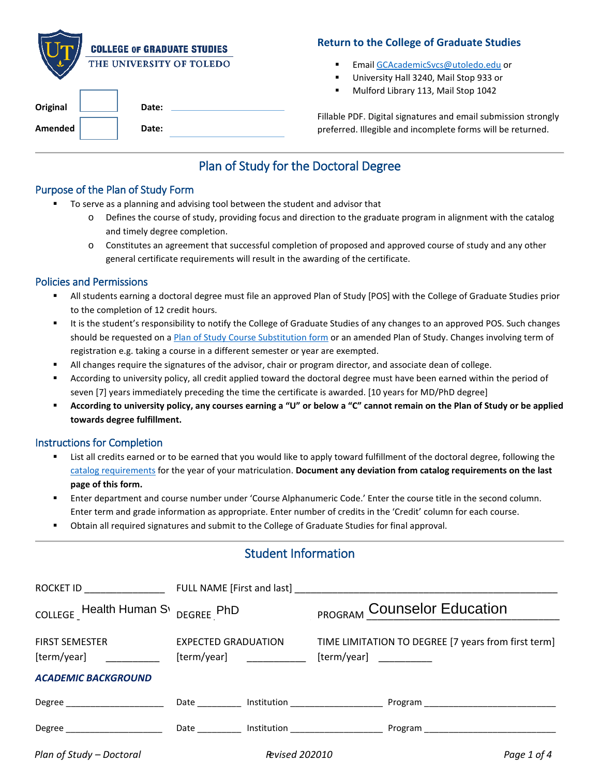|          | <b>COLLEGE OF GRADUATE STUDIES</b> |
|----------|------------------------------------|
|          | THE UNIVERSITY OF TOLEDO           |
| Original | Date:                              |

## **Return to the College of Graduate Studies**

- Emai[l GCAcademicSvcs@utoledo.edu](mailto:GCAcademicSvcs@utoledo.edu) or
- University Hall 3240, Mail Stop 933 or
- Mulford Library 113, Mail Stop 1042

Fillable PDF. Digital signatures and email submission strongly preferred. Illegible and incomplete forms will be returned.

# Plan of Study for the Doctoral Degree

## Purpose of the Plan of Study Form

**Amended Date:**

- To serve as a planning and advising tool between the student and advisor that
	- $\circ$  Defines the course of study, providing focus and direction to the graduate program in alignment with the catalog and timely degree completion.
	- o Constitutes an agreement that successful completion of proposed and approved course of study and any other general certificate requirements will result in the awarding of the certificate.

## Policies and Permissions

- All students earning a doctoral degree must file an approved Plan of Study [POS] with the College of Graduate Studies prior to the completion of 12 credit hours.
- It is the student's responsibility to notify the College of Graduate Studies of any changes to an approved POS. Such changes should be requested on [a Plan of Study Course Substitution form](http://www.utoledo.edu/graduate/forms/CourseSubPOS.pdf) or an amended Plan of Study. Changes involving term of registration e.g. taking a course in a different semester or year are exempted.
- All changes require the signatures of the advisor, chair or program director, and associate dean of college.
- According to university policy, all credit applied toward the doctoral degree must have been earned within the period of seven [7] years immediately preceding the time the certificate is awarded. [10 years for MD/PhD degree]
- **According to university policy, any courses earning a "U" or below a "C" cannot remain on the Plan of Study or be applied towards degree fulfillment.**

#### Instructions for Completion

- List all credits earned or to be earned that you would like to apply toward fulfillment of the doctoral degree, following the [catalog requirements](https://catalog.utoledo.edu/) for the year of your matriculation. **Document any deviation from catalog requirements on the last page of this form.**
- Enter department and course number under 'Course Alphanumeric Code.' Enter the course title in the second column. Enter term and grade information as appropriate. Enter number of credits in the 'Credit' column for each course.
- Obtain all required signatures and submit to the College of Graduate Studies for final approval.

# Student Information

| ROCKET ID ______________                                                                                                                                                                                                       |                                                        |                       |                                                                                |
|--------------------------------------------------------------------------------------------------------------------------------------------------------------------------------------------------------------------------------|--------------------------------------------------------|-----------------------|--------------------------------------------------------------------------------|
| COLLEGE Health Human S <sub>1</sub> DEGREE PhD                                                                                                                                                                                 |                                                        |                       | <b>PROGRAM Counselor Education</b>                                             |
| <b>FIRST SEMESTER</b><br>[term/year]                                                                                                                                                                                           | <b>EXPECTED GRADUATION</b><br>$[term/year]$ __________ |                       | TIME LIMITATION TO DEGREE [7 years from first term]<br>$[term/year]$ _________ |
| <b>ACADEMIC BACKGROUND</b>                                                                                                                                                                                                     |                                                        |                       |                                                                                |
| Degree _______________________                                                                                                                                                                                                 |                                                        |                       | Date ___________ Institution _____________________                             |
| Degree the contract of the contract of the contract of the contract of the contract of the contract of the contract of the contract of the contract of the contract of the contract of the contract of the contract of the con | Date __________                                        |                       | Institution ___________________                                                |
| Plan of Study - Doctoral                                                                                                                                                                                                       |                                                        | <b>Revised 202010</b> | Page 1 of 4                                                                    |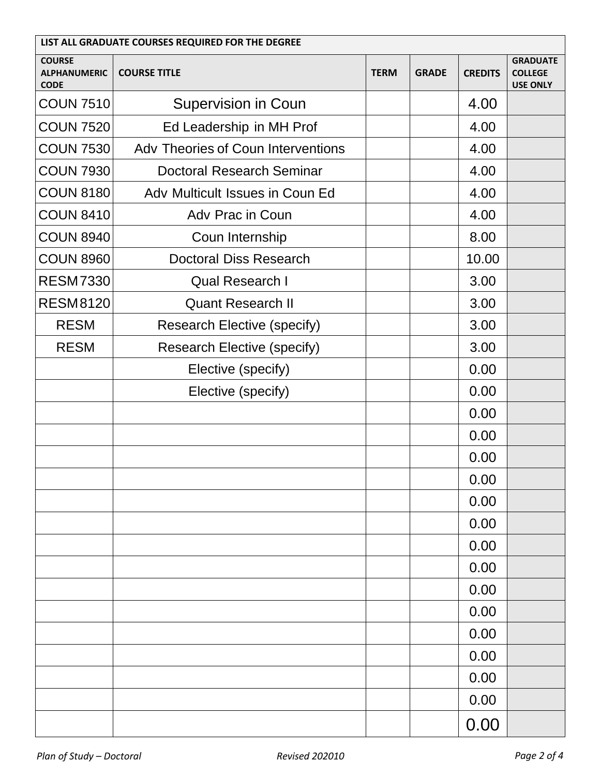| LIST ALL GRADUATE COURSES REQUIRED FOR THE DEGREE   |                                    |             |              |                |                                                      |
|-----------------------------------------------------|------------------------------------|-------------|--------------|----------------|------------------------------------------------------|
| <b>COURSE</b><br><b>ALPHANUMERIC</b><br><b>CODE</b> | <b>COURSE TITLE</b>                | <b>TERM</b> | <b>GRADE</b> | <b>CREDITS</b> | <b>GRADUATE</b><br><b>COLLEGE</b><br><b>USE ONLY</b> |
| <b>COUN 7510</b>                                    | <b>Supervision in Coun</b>         |             |              | 4.00           |                                                      |
| <b>COUN 7520</b>                                    | Ed Leadership in MH Prof           |             |              | 4.00           |                                                      |
| <b>COUN 7530</b>                                    | Adv Theories of Coun Interventions |             |              | 4.00           |                                                      |
| <b>COUN 7930</b>                                    | <b>Doctoral Research Seminar</b>   |             |              | 4.00           |                                                      |
| <b>COUN 8180</b>                                    | Adv Multicult Issues in Coun Ed    |             |              | 4.00           |                                                      |
| <b>COUN 8410</b>                                    | Adv Prac in Coun                   |             |              | 4.00           |                                                      |
| <b>COUN 8940</b>                                    | Coun Internship                    |             |              | 8.00           |                                                      |
| <b>COUN 8960</b>                                    | <b>Doctoral Diss Research</b>      |             |              | 10.00          |                                                      |
| <b>RESM7330</b>                                     | <b>Qual Research I</b>             |             |              | 3.00           |                                                      |
| <b>RESM8120</b>                                     | <b>Quant Research II</b>           |             |              | 3.00           |                                                      |
| <b>RESM</b>                                         | <b>Research Elective (specify)</b> |             |              | 3.00           |                                                      |
| <b>RESM</b>                                         | <b>Research Elective (specify)</b> |             |              | 3.00           |                                                      |
|                                                     | Elective (specify)                 |             |              | 0.00           |                                                      |
|                                                     | Elective (specify)                 |             |              | 0.00           |                                                      |
|                                                     |                                    |             |              | 0.00           |                                                      |
|                                                     |                                    |             |              | 0.00           |                                                      |
|                                                     |                                    |             |              | 0.00           |                                                      |
|                                                     |                                    |             |              | 0.00           |                                                      |
|                                                     |                                    |             |              | 0.00           |                                                      |
|                                                     |                                    |             |              | 0.00           |                                                      |
|                                                     |                                    |             |              | 0.00           |                                                      |
|                                                     |                                    |             |              | 0.00           |                                                      |
|                                                     |                                    |             |              | 0.00           |                                                      |
|                                                     |                                    |             |              | 0.00           |                                                      |
|                                                     |                                    |             |              | 0.00           |                                                      |
|                                                     |                                    |             |              | 0.00           |                                                      |
|                                                     |                                    |             |              | 0.00           |                                                      |
|                                                     |                                    |             |              | 0.00           |                                                      |
|                                                     |                                    |             |              | 0.00           |                                                      |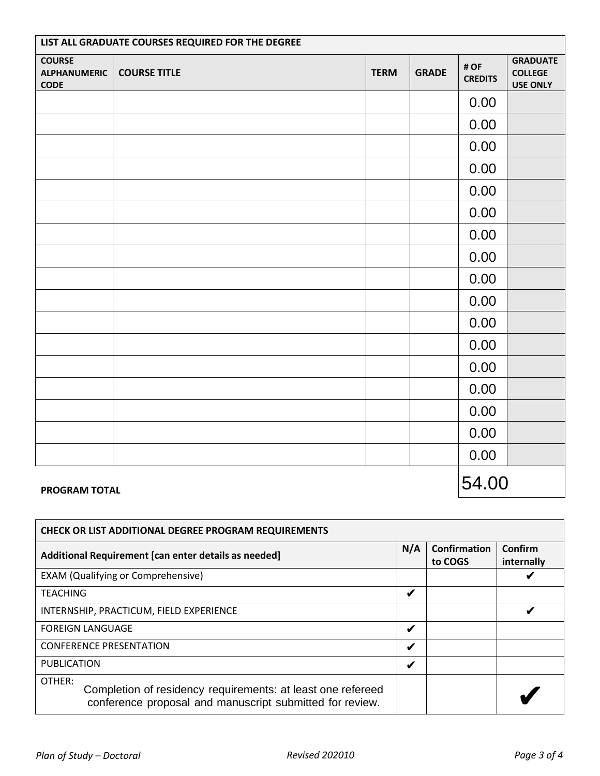| LIST ALL GRADUATE COURSES REQUIRED FOR THE DEGREE   |                     |             |              |                        |                                                      |
|-----------------------------------------------------|---------------------|-------------|--------------|------------------------|------------------------------------------------------|
| <b>COURSE</b><br><b>ALPHANUMERIC</b><br><b>CODE</b> | <b>COURSE TITLE</b> | <b>TERM</b> | <b>GRADE</b> | # OF<br><b>CREDITS</b> | <b>GRADUATE</b><br><b>COLLEGE</b><br><b>USE ONLY</b> |
|                                                     |                     |             |              | 0.00                   |                                                      |
|                                                     |                     |             |              | 0.00                   |                                                      |
|                                                     |                     |             |              | 0.00                   |                                                      |
|                                                     |                     |             |              | 0.00                   |                                                      |
|                                                     |                     |             |              | 0.00                   |                                                      |
|                                                     |                     |             |              | 0.00                   |                                                      |
|                                                     |                     |             |              | 0.00                   |                                                      |
|                                                     |                     |             |              | 0.00                   |                                                      |
|                                                     |                     |             |              | 0.00                   |                                                      |
|                                                     |                     |             |              | 0.00                   |                                                      |
|                                                     |                     |             |              | 0.00                   |                                                      |
|                                                     |                     |             |              | 0.00                   |                                                      |
|                                                     |                     |             |              | 0.00                   |                                                      |
|                                                     |                     |             |              | 0.00                   |                                                      |
|                                                     |                     |             |              | 0.00                   |                                                      |
|                                                     |                     |             |              | 0.00                   |                                                      |
|                                                     |                     |             |              | 0.00                   |                                                      |
| <b>PROGRAM TOTAL</b>                                |                     |             |              | 54.00                  |                                                      |

#### **PROGRAM TOTAL**

| <b>CHECK OR LIST ADDITIONAL DEGREE PROGRAM REQUIREMENTS</b>                                                                       |     |                                |                       |
|-----------------------------------------------------------------------------------------------------------------------------------|-----|--------------------------------|-----------------------|
| Additional Requirement [can enter details as needed]                                                                              | N/A | <b>Confirmation</b><br>to COGS | Confirm<br>internally |
| <b>EXAM (Qualifying or Comprehensive)</b>                                                                                         |     |                                |                       |
| <b>TEACHING</b>                                                                                                                   | V   |                                |                       |
| INTERNSHIP, PRACTICUM, FIELD EXPERIENCE                                                                                           |     |                                | V                     |
| <b>FOREIGN LANGUAGE</b>                                                                                                           | V   |                                |                       |
| <b>CONFERENCE PRESENTATION</b>                                                                                                    | V   |                                |                       |
| <b>PUBLICATION</b>                                                                                                                | ✔   |                                |                       |
| OTHER:<br>Completion of residency requirements: at least one refereed<br>conference proposal and manuscript submitted for review. |     |                                |                       |